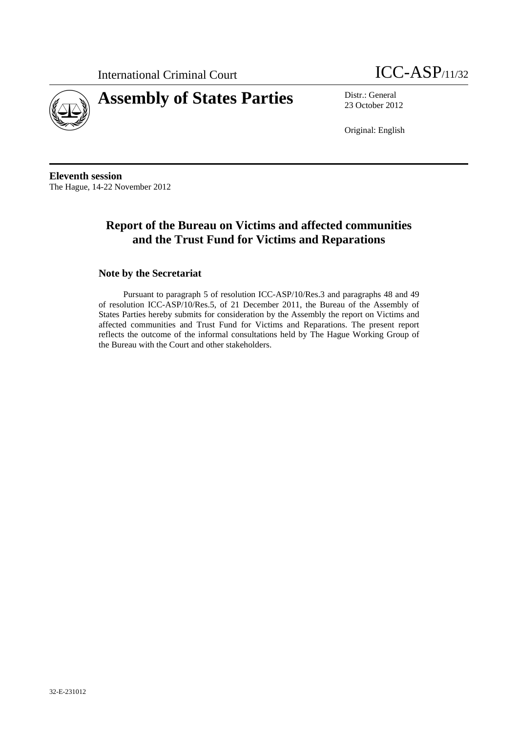



23 October 2012

Original: English

**Eleventh session**  The Hague, 14-22 November 2012

# **Report of the Bureau on Victims and affected communities and the Trust Fund for Victims and Reparations**

### **Note by the Secretariat**

Pursuant to paragraph 5 of resolution ICC-ASP/10/Res.3 and paragraphs 48 and 49 of resolution ICC-ASP/10/Res.5, of 21 December 2011, the Bureau of the Assembly of States Parties hereby submits for consideration by the Assembly the report on Victims and affected communities and Trust Fund for Victims and Reparations. The present report reflects the outcome of the informal consultations held by The Hague Working Group of the Bureau with the Court and other stakeholders.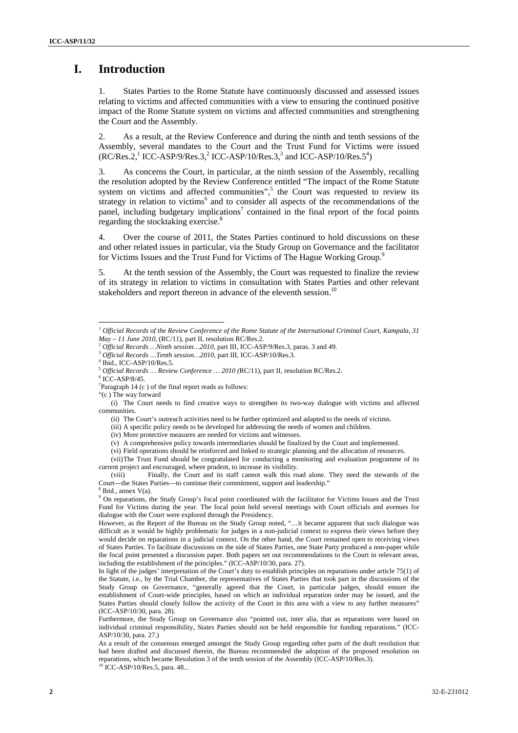## **I. Introduction**

1. States Parties to the Rome Statute have continuously discussed and assessed issues relating to victims and affected communities with a view to ensuring the continued positive impact of the Rome Statute system on victims and affected communities and strengthening the Court and the Assembly.

2. As a result, at the Review Conference and during the ninth and tenth sessions of the Assembly, several mandates to the Court and the Trust Fund for Victims were issued  $(RC/Res.2, \frac{1}{1}ICC-ASP/9/Res.3, \frac{2}{1}ICC-ASP/10/Res.3, \frac{3}{1} and ICC-ASP/10/Res.5^4)$ 

3. As concerns the Court, in particular, at the ninth session of the Assembly, recalling the resolution adopted by the Review Conference entitled "The impact of the Rome Statute system on victims and affected communities",<sup>5</sup> the Court was requested to review its strategy in relation to victims<sup>6</sup> and to consider all aspects of the recommendations of the panel, including budgetary implications<sup>7</sup> contained in the final report of the focal points regarding the stocktaking exercise.<sup>8</sup>

4. Over the course of 2011, the States Parties continued to hold discussions on these and other related issues in particular, via the Study Group on Governance and the facilitator for Victims Issues and the Trust Fund for Victims of The Hague Working Group.<sup>9</sup> L

5. At the tenth session of the Assembly, the Court was requested to finalize the review of its strategy in relation to victims in consultation with States Parties and other relevant stakeholders and report thereon in advance of the eleventh session.<sup>10</sup>

<sup>1</sup> *Official Records of the Review Conference of the Rome Statute of the International Criminal Court, Kampala, 31*   $May - 11 June 2010$ , (RC/11), part II, resolution RC/Res.2.<br><sup>2</sup> Official Records ... Ninth session... 2010, part III, ICC-ASP/9/Res.3, paras. 3 and 49.<br><sup>3</sup> Official Records ... Tenth session... 2010, part III, ICC-ASP/10/Res.3.

Ibid., ICC-ASP/10/Res.5.

<sup>5</sup> *Official Records … Review Conference … 2010 (*RC/11), part II, resolution RC/Res.2. 6

 $6$ ICC-ASP/8/45.

 $7$ Paragraph 14 (c) of the final report reads as follows:

<sup>&</sup>quot;(c ) The way forward

<sup>(</sup>i) The Court needs to find creative ways to strengthen its two-way dialogue with victims and affected communities.

<sup>(</sup>ii) The Court's outreach activities need to be further optimized and adapted to the needs of victims.

<sup>(</sup>iii) A specific policy needs to be developed for addressing the needs of women and children.

<sup>(</sup>iv) More protective measures are needed for victims and witnesses.

<sup>(</sup>v) A comprehensive policy towards intermediaries should be finalized by the Court and implemented.

<sup>(</sup>vi) Field operations should be reinforced and linked to strategic planning and the allocation of resources.

<sup>(</sup>vii)The Trust Fund should be congratulated for conducting a monitoring and evaluation programme of its current project and encouraged, where prudent, to increase its visibility.

<sup>(</sup>viii) Finally, the Court and its staff cannot walk this road alone. They need the stewards of the Court—the States Parties—to continue their commitment, support and leadership." 8 Ibid., annex V(a).

<sup>&</sup>lt;sup>9</sup> On reparations, the Study Group's focal point coordinated with the facilitator for Victims Issues and the Trust Fund for Victims during the year. The focal point held several meetings with Court officials and avenues for dialogue with the Court were explored through the Presidency.

However, as the Report of the Bureau on the Study Group noted, "…it became apparent that such dialogue was difficult as it would be highly problematic for judges in a non-judicial context to express their views before they would decide on reparations in a judicial context. On the other hand, the Court remained open to receiving views of States Parties. To facilitate discussions on the side of States Parties, one State Party produced a non-paper while the focal point presented a discussion paper. Both papers set out recommendations to the Court in relevant areas, including the establishment of the principles." (ICC-ASP/10/30, para. 27).

In light of the judges' interpretation of the Court's duty to establish principles on reparations under article 75(1) of the Statute, i.e., by the Trial Chamber, the representatives of States Parties that took part in the discussions of the Study Group on Governance, "generally agreed that the Court, in particular judges, should ensure the establishment of Court-wide principles, based on which an individual reparation order may be issued, and the States Parties should closely follow the activity of the Court in this area with a view to any further measures" (ICC-ASP/10/30, para. 28).

Furthermore, the Study Group on Governance also "pointed out, inter alia, that as reparations were based on individual criminal responsibility, States Parties should not be held responsible for funding reparations." (ICC-ASP/10/30, para. 27.)

As a result of the consensus emerged amongst the Study Group regarding other parts of the draft resolution that had been drafted and discussed therein, the Bureau recommended the adoption of the proposed resolution on reparations, which became Resolution 3 of the tenth session of the Assembly  $(ICC-ASP/10/Res.3)$ .<br><sup>10</sup> ICC-ASP/10/Res.5, para. 48...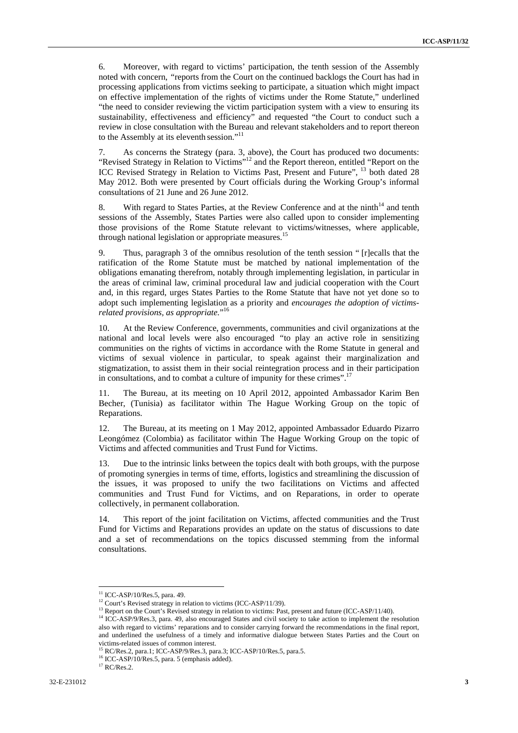6. Moreover, with regard to victims' participation, the tenth session of the Assembly noted with concern, *"*reports from the Court on the continued backlogs the Court has had in processing applications from victims seeking to participate, a situation which might impact on effective implementation of the rights of victims under the Rome Statute," underlined "the need to consider reviewing the victim participation system with a view to ensuring its sustainability, effectiveness and efficiency" and requested "the Court to conduct such a review in close consultation with the Bureau and relevant stakeholders and to report thereon to the Assembly at its eleventh session."<sup>11</sup>

7. As concerns the Strategy (para. 3, above), the Court has produced two documents: "Revised Strategy in Relation to Victims"12 and the Report thereon, entitled "Report on the ICC Revised Strategy in Relation to Victims Past, Present and Future", <sup>13</sup> both dated 28 May 2012. Both were presented by Court officials during the Working Group's informal consultations of 21 June and 26 June 2012.

8. With regard to States Parties, at the Review Conference and at the ninth<sup>14</sup> and tenth sessions of the Assembly, States Parties were also called upon to consider implementing those provisions of the Rome Statute relevant to victims/witnesses, where applicable, through national legislation or appropriate measures.<sup>15</sup>

9. Thus, paragraph 3 of the omnibus resolution of the tenth session " [r]ecalls that the ratification of the Rome Statute must be matched by national implementation of the obligations emanating therefrom, notably through implementing legislation, in particular in the areas of criminal law, criminal procedural law and judicial cooperation with the Court and, in this regard, urges States Parties to the Rome Statute that have not yet done so to adopt such implementing legislation as a priority and *encourages the adoption of victimsrelated provisions, as appropriate.*" 16

10. At the Review Conference, governments, communities and civil organizations at the national and local levels were also encouraged *"*to play an active role in sensitizing communities on the rights of victims in accordance with the Rome Statute in general and victims of sexual violence in particular, to speak against their marginalization and stigmatization, to assist them in their social reintegration process and in their participation in consultations, and to combat a culture of impunity for these crimes".<sup>17</sup>

11. The Bureau, at its meeting on 10 April 2012, appointed Ambassador Karim Ben Becher, (Tunisia) as facilitator within The Hague Working Group on the topic of Reparations.

12. The Bureau, at its meeting on 1 May 2012, appointed Ambassador Eduardo Pizarro Leongómez (Colombia) as facilitator within The Hague Working Group on the topic of Victims and affected communities and Trust Fund for Victims.

13. Due to the intrinsic links between the topics dealt with both groups, with the purpose of promoting synergies in terms of time, efforts, logistics and streamlining the discussion of the issues, it was proposed to unify the two facilitations on Victims and affected communities and Trust Fund for Victims, and on Reparations, in order to operate collectively, in permanent collaboration.

14. This report of the joint facilitation on Victims, affected communities and the Trust Fund for Victims and Reparations provides an update on the status of discussions to date and a set of recommendations on the topics discussed stemming from the informal consultations.

 $11$  ICC-ASP/10/Res.5, para. 49.

<sup>&</sup>lt;sup>12</sup> Court's Revised strategy in relation to victims (ICC-ASP/11/39).<br><sup>13</sup> Report on the Court's Revised strategy in relation to victims: Past, present and future (ICC-ASP/11/40).<br><sup>14</sup> ICC-ASP/9/Res.3, para. 49, also enco also with regard to victims' reparations and to consider carrying forward the recommendations in the final report, and underlined the usefulness of a timely and informative dialogue between States Parties and the Court on victims-related issues of common interest.

<sup>15</sup> RC/Res.2, para.1; ICC-ASP/9/Res.3, para.3; ICC-ASP/10/Res.5, para.5.

<sup>&</sup>lt;sup>16</sup> ICC-ASP/10/Res.5, para. 5 (emphasis added).

 $17$  RC/Res.2.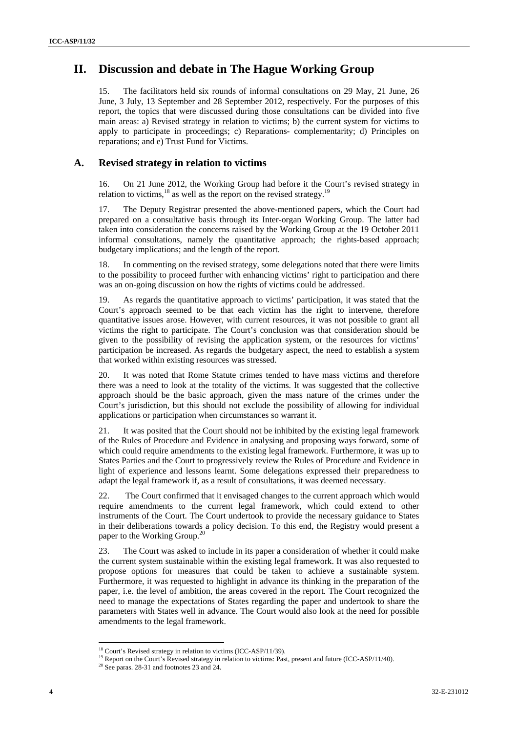# **II. Discussion and debate in The Hague Working Group**

15. The facilitators held six rounds of informal consultations on 29 May, 21 June, 26 June, 3 July, 13 September and 28 September 2012, respectively. For the purposes of this report, the topics that were discussed during those consultations can be divided into five main areas: a) Revised strategy in relation to victims; b) the current system for victims to apply to participate in proceedings; c) Reparations- complementarity; d) Principles on reparations; and e) Trust Fund for Victims.

### **A. Revised strategy in relation to victims**

16. On 21 June 2012, the Working Group had before it the Court's revised strategy in relation to victims,  $^{18}$  as well as the report on the revised strategy.<sup>19</sup>

17. The Deputy Registrar presented the above-mentioned papers, which the Court had prepared on a consultative basis through its Inter-organ Working Group. The latter had taken into consideration the concerns raised by the Working Group at the 19 October 2011 informal consultations, namely the quantitative approach; the rights-based approach; budgetary implications; and the length of the report.

18. In commenting on the revised strategy, some delegations noted that there were limits to the possibility to proceed further with enhancing victims' right to participation and there was an on-going discussion on how the rights of victims could be addressed.

19. As regards the quantitative approach to victims' participation, it was stated that the Court's approach seemed to be that each victim has the right to intervene, therefore quantitative issues arose. However, with current resources, it was not possible to grant all victims the right to participate. The Court's conclusion was that consideration should be given to the possibility of revising the application system, or the resources for victims' participation be increased. As regards the budgetary aspect, the need to establish a system that worked within existing resources was stressed.

20. It was noted that Rome Statute crimes tended to have mass victims and therefore there was a need to look at the totality of the victims. It was suggested that the collective approach should be the basic approach, given the mass nature of the crimes under the Court's jurisdiction, but this should not exclude the possibility of allowing for individual applications or participation when circumstances so warrant it.

21. It was posited that the Court should not be inhibited by the existing legal framework of the Rules of Procedure and Evidence in analysing and proposing ways forward, some of which could require amendments to the existing legal framework. Furthermore, it was up to States Parties and the Court to progressively review the Rules of Procedure and Evidence in light of experience and lessons learnt. Some delegations expressed their preparedness to adapt the legal framework if, as a result of consultations, it was deemed necessary.

22. The Court confirmed that it envisaged changes to the current approach which would require amendments to the current legal framework, which could extend to other instruments of the Court. The Court undertook to provide the necessary guidance to States in their deliberations towards a policy decision. To this end, the Registry would present a paper to the Working Group.20

23. The Court was asked to include in its paper a consideration of whether it could make the current system sustainable within the existing legal framework. It was also requested to propose options for measures that could be taken to achieve a sustainable system. Furthermore, it was requested to highlight in advance its thinking in the preparation of the paper, i.e. the level of ambition, the areas covered in the report. The Court recognized the need to manage the expectations of States regarding the paper and undertook to share the parameters with States well in advance. The Court would also look at the need for possible amendments to the legal framework.

<sup>&</sup>lt;sup>18</sup> Court's Revised strategy in relation to victims (ICC-ASP/11/39).<br><sup>19</sup> Report on the Court's Revised strategy in relation to victims: Past, present and future (ICC-ASP/11/40).<br><sup>20</sup> See paras. 28-31 and footnotes 23 an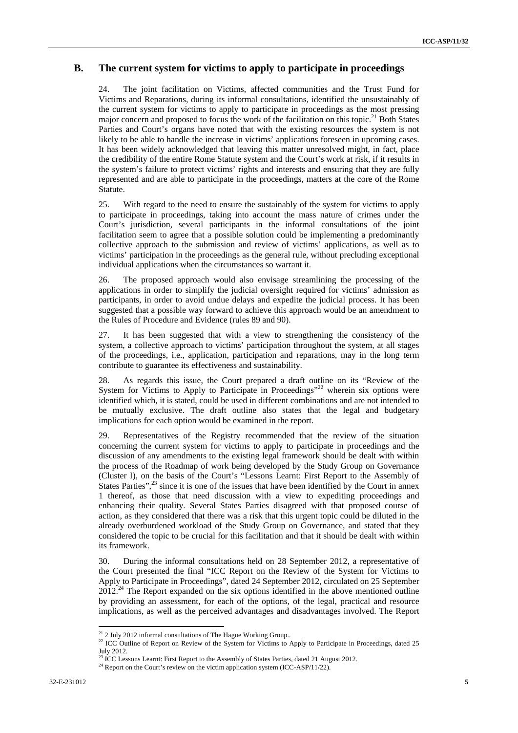### **B. The current system for victims to apply to participate in proceedings**

24. The joint facilitation on Victims, affected communities and the Trust Fund for Victims and Reparations, during its informal consultations, identified the unsustainably of the current system for victims to apply to participate in proceedings as the most pressing major concern and proposed to focus the work of the facilitation on this topic.<sup>21</sup> Both States Parties and Court's organs have noted that with the existing resources the system is not likely to be able to handle the increase in victims' applications foreseen in upcoming cases. It has been widely acknowledged that leaving this matter unresolved might, in fact, place the credibility of the entire Rome Statute system and the Court's work at risk, if it results in the system's failure to protect victims' rights and interests and ensuring that they are fully represented and are able to participate in the proceedings, matters at the core of the Rome Statute.

25. With regard to the need to ensure the sustainably of the system for victims to apply to participate in proceedings, taking into account the mass nature of crimes under the Court's jurisdiction, several participants in the informal consultations of the joint facilitation seem to agree that a possible solution could be implementing a predominantly collective approach to the submission and review of victims' applications, as well as to victims' participation in the proceedings as the general rule, without precluding exceptional individual applications when the circumstances so warrant it.

26. The proposed approach would also envisage streamlining the processing of the applications in order to simplify the judicial oversight required for victims' admission as participants, in order to avoid undue delays and expedite the judicial process. It has been suggested that a possible way forward to achieve this approach would be an amendment to the Rules of Procedure and Evidence (rules 89 and 90).

27. It has been suggested that with a view to strengthening the consistency of the system, a collective approach to victims' participation throughout the system, at all stages of the proceedings, i.e., application, participation and reparations, may in the long term contribute to guarantee its effectiveness and sustainability.

28. As regards this issue, the Court prepared a draft outline on its "Review of the System for Victims to Apply to Participate in Proceedings"<sup>22</sup> wherein six options were identified which, it is stated, could be used in different combinations and are not intended to be mutually exclusive. The draft outline also states that the legal and budgetary implications for each option would be examined in the report.

29. Representatives of the Registry recommended that the review of the situation concerning the current system for victims to apply to participate in proceedings and the discussion of any amendments to the existing legal framework should be dealt with within the process of the Roadmap of work being developed by the Study Group on Governance (Cluster I), on the basis of the Court's "Lessons Learnt: First Report to the Assembly of States Parties", $^{23}$  since it is one of the issues that have been identified by the Court in annex 1 thereof, as those that need discussion with a view to expediting proceedings and enhancing their quality. Several States Parties disagreed with that proposed course of action, as they considered that there was a risk that this urgent topic could be diluted in the already overburdened workload of the Study Group on Governance, and stated that they considered the topic to be crucial for this facilitation and that it should be dealt with within its framework.

30. During the informal consultations held on 28 September 2012, a representative of the Court presented the final "ICC Report on the Review of the System for Victims to Apply to Participate in Proceedings", dated 24 September 2012, circulated on 25 September  $2012<sup>24</sup>$  The Report expanded on the six options identified in the above mentioned outline by providing an assessment, for each of the options, of the legal, practical and resource implications, as well as the perceived advantages and disadvantages involved. The Report

 $21$  2 July 2012 informal consultations of The Hague Working Group..

<sup>&</sup>lt;sup>22</sup> ICC Outline of Report on Review of the System for Victims to Apply to Participate in Proceedings, dated 25 July 2012.

<sup>&</sup>lt;sup>23</sup> ICC Lessons Learnt: First Report to the Assembly of States Parties, dated 21 August 2012.<br><sup>24</sup> Report on the Court's review on the victim application system (ICC-ASP/11/22).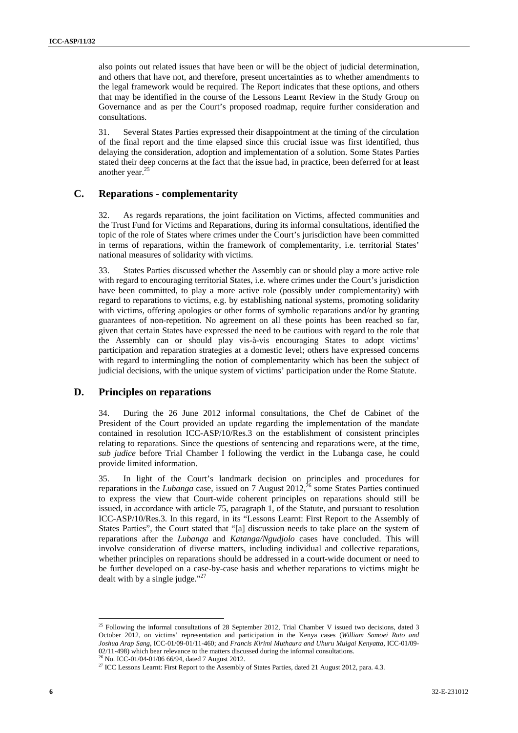also points out related issues that have been or will be the object of judicial determination, and others that have not, and therefore, present uncertainties as to whether amendments to the legal framework would be required. The Report indicates that these options, and others that may be identified in the course of the Lessons Learnt Review in the Study Group on Governance and as per the Court's proposed roadmap, require further consideration and consultations.

31. Several States Parties expressed their disappointment at the timing of the circulation of the final report and the time elapsed since this crucial issue was first identified, thus delaying the consideration, adoption and implementation of a solution. Some States Parties stated their deep concerns at the fact that the issue had, in practice, been deferred for at least another year.<sup>25</sup>

#### **C. Reparations - complementarity**

32. As regards reparations, the joint facilitation on Victims, affected communities and the Trust Fund for Victims and Reparations, during its informal consultations, identified the topic of the role of States where crimes under the Court's jurisdiction have been committed in terms of reparations, within the framework of complementarity, i.e. territorial States' national measures of solidarity with victims.

33. States Parties discussed whether the Assembly can or should play a more active role with regard to encouraging territorial States, i.e. where crimes under the Court's jurisdiction have been committed, to play a more active role (possibly under complementarity) with regard to reparations to victims, e.g. by establishing national systems, promoting solidarity with victims, offering apologies or other forms of symbolic reparations and/or by granting guarantees of non-repetition. No agreement on all these points has been reached so far, given that certain States have expressed the need to be cautious with regard to the role that the Assembly can or should play vis-à-vis encouraging States to adopt victims' participation and reparation strategies at a domestic level; others have expressed concerns with regard to intermingling the notion of complementarity which has been the subject of judicial decisions, with the unique system of victims' participation under the Rome Statute.

#### **D. Principles on reparations**

34. During the 26 June 2012 informal consultations, the Chef de Cabinet of the President of the Court provided an update regarding the implementation of the mandate contained in resolution ICC-ASP/10/Res.3 on the establishment of consistent principles relating to reparations. Since the questions of sentencing and reparations were, at the time, *sub judice* before Trial Chamber I following the verdict in the Lubanga case, he could provide limited information.

35. In light of the Court's landmark decision on principles and procedures for reparations in the *Lubanga* case, issued on 7 August 2012,<sup>26</sup> some States Parties continued to express the view that Court-wide coherent principles on reparations should still be issued, in accordance with article 75, paragraph 1, of the Statute, and pursuant to resolution ICC-ASP/10/Res.3. In this regard, in its "Lessons Learnt: First Report to the Assembly of States Parties", the Court stated that "[a] discussion needs to take place on the system of reparations after the *Lubanga* and *Katanga/Ngudjolo* cases have concluded. This will involve consideration of diverse matters, including individual and collective reparations, whether principles on reparations should be addressed in a court-wide document or need to be further developed on a case-by-case basis and whether reparations to victims might be dealt with by a single judge." $27$ 

<sup>&</sup>lt;sup>25</sup> Following the informal consultations of 28 September 2012, Trial Chamber V issued two decisions, dated 3 October 2012, on victims' representation and participation in the Kenya cases (*William Samoei Ruto and Joshua Arap Sang,* ICC-01/09-01/11-460; and *Francis Kirimi Muthaura and Uhuru Muigai Kenyatta,* ICC-01/09- 02/11-498) which bear relevance to the matters discussed during the informal consultations.<br><sup>26</sup> No. ICC-01/04-01/06 66/94, dated 7 August 2012.

<sup>&</sup>lt;sup>27</sup> ICC Lessons Learnt: First Report to the Assembly of States Parties, dated 21 August 2012, para. 4.3.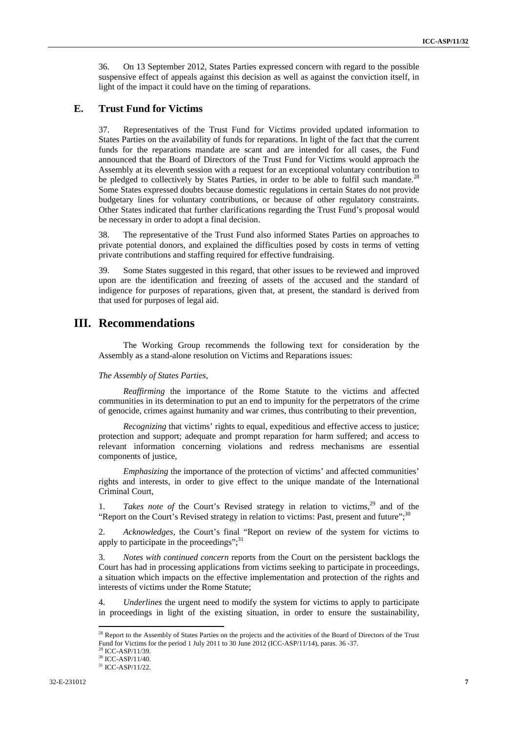36. On 13 September 2012, States Parties expressed concern with regard to the possible suspensive effect of appeals against this decision as well as against the conviction itself, in light of the impact it could have on the timing of reparations.

#### **E. Trust Fund for Victims**

37. Representatives of the Trust Fund for Victims provided updated information to States Parties on the availability of funds for reparations. In light of the fact that the current funds for the reparations mandate are scant and are intended for all cases, the Fund announced that the Board of Directors of the Trust Fund for Victims would approach the Assembly at its eleventh session with a request for an exceptional voluntary contribution to be pledged to collectively by States Parties, in order to be able to fulfil such mandate.<sup>28</sup> Some States expressed doubts because domestic regulations in certain States do not provide budgetary lines for voluntary contributions, or because of other regulatory constraints. Other States indicated that further clarifications regarding the Trust Fund's proposal would be necessary in order to adopt a final decision.

38. The representative of the Trust Fund also informed States Parties on approaches to private potential donors, and explained the difficulties posed by costs in terms of vetting private contributions and staffing required for effective fundraising.

39. Some States suggested in this regard, that other issues to be reviewed and improved upon are the identification and freezing of assets of the accused and the standard of indigence for purposes of reparations, given that, at present, the standard is derived from that used for purposes of legal aid.

## **III. Recommendations**

The Working Group recommends the following text for consideration by the Assembly as a stand-alone resolution on Victims and Reparations issues:

#### *The Assembly of States Parties*,

*Reaffirming* the importance of the Rome Statute to the victims and affected communities in its determination to put an end to impunity for the perpetrators of the crime of genocide, crimes against humanity and war crimes, thus contributing to their prevention,

*Recognizing* that victims' rights to equal, expeditious and effective access to justice; protection and support; adequate and prompt reparation for harm suffered; and access to relevant information concerning violations and redress mechanisms are essential components of justice,

*Emphasizing* the importance of the protection of victims' and affected communities' rights and interests, in order to give effect to the unique mandate of the International Criminal Court,

1. *Takes note of the Court's Revised strategy in relation to victims*,<sup>29</sup> and of the "Report on the Court's Revised strategy in relation to victims: Past, present and future"; $30$ 

2. *Acknowledges,* the Court's final "Report on review of the system for victims to apply to participate in the proceedings":<sup>31</sup>

3. *Notes with continued concern* reports from the Court on the persistent backlogs the Court has had in processing applications from victims seeking to participate in proceedings, a situation which impacts on the effective implementation and protection of the rights and interests of victims under the Rome Statute;

4. *Underlines* the urgent need to modify the system for victims to apply to participate in proceedings in light of the existing situation, in order to ensure the sustainability,

 $2<sup>28</sup>$  Report to the Assembly of States Parties on the projects and the activities of the Board of Directors of the Trust Fund for Victims for the period 1 July 2011 to 30 June 2012 (ICC-ASP/11/14), paras. 36 -37.<br><sup>29</sup> ICC-ASP/11/39.

<sup>30</sup> ICC-ASP/11/40.

 $31$  ICC-ASP/11/22.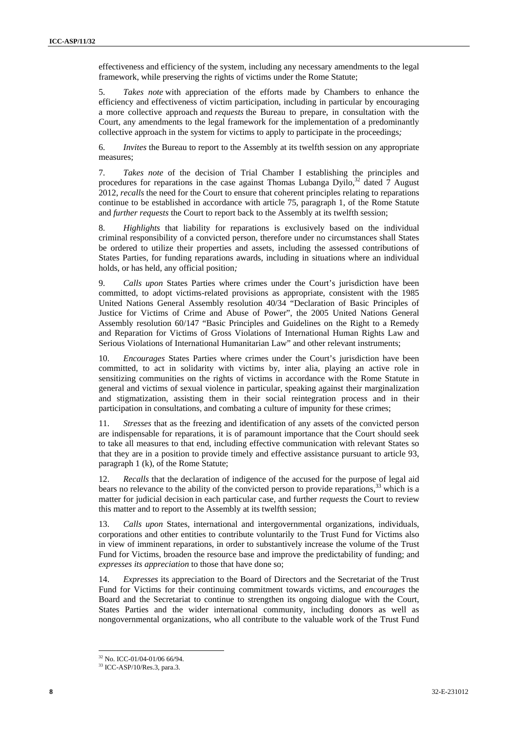effectiveness and efficiency of the system, including any necessary amendments to the legal framework, while preserving the rights of victims under the Rome Statute;

5. *Takes note* with appreciation of the efforts made by Chambers to enhance the efficiency and effectiveness of victim participation, including in particular by encouraging a more collective approach and *requests* the Bureau to prepare, in consultation with the Court, any amendments to the legal framework for the implementation of a predominantly collective approach in the system for victims to apply to participate in the proceedings*;* 

6. *Invites* the Bureau to report to the Assembly at its twelfth session on any appropriate measures;

7. *Takes note* of the decision of Trial Chamber I establishing the principles and procedures for reparations in the case against Thomas Lubanga Dyilo, $32$  dated 7 August 2012, *recalls* the need for the Court to ensure that coherent principles relating to reparations continue to be established in accordance with article 75, paragraph 1, of the Rome Statute and *further requests* the Court to report back to the Assembly at its twelfth session;

8. *Highlights* that liability for reparations is exclusively based on the individual criminal responsibility of a convicted person, therefore under no circumstances shall States be ordered to utilize their properties and assets, including the assessed contributions of States Parties, for funding reparations awards, including in situations where an individual holds, or has held, any official position*;* 

9. *Calls upon* States Parties where crimes under the Court's jurisdiction have been committed, to adopt victims-related provisions as appropriate, consistent with the 1985 United Nations General Assembly resolution 40/34 "Declaration of Basic Principles of Justice for Victims of Crime and Abuse of Power", the 2005 United Nations General Assembly resolution 60/147 "Basic Principles and Guidelines on the Right to a Remedy and Reparation for Victims of Gross Violations of International Human Rights Law and Serious Violations of International Humanitarian Law" and other relevant instruments;

10. *Encourages* States Parties where crimes under the Court's jurisdiction have been committed, to act in solidarity with victims by, inter alia, playing an active role in sensitizing communities on the rights of victims in accordance with the Rome Statute in general and victims of sexual violence in particular, speaking against their marginalization and stigmatization, assisting them in their social reintegration process and in their participation in consultations, and combating a culture of impunity for these crimes;

11. *Stresses* that as the freezing and identification of any assets of the convicted person are indispensable for reparations, it is of paramount importance that the Court should seek to take all measures to that end, including effective communication with relevant States so that they are in a position to provide timely and effective assistance pursuant to article 93, paragraph 1 (k), of the Rome Statute;

*Recalls* that the declaration of indigence of the accused for the purpose of legal aid bears no relevance to the ability of the convicted person to provide reparations,<sup>33</sup> which is a matter for judicial decision in each particular case, and further *requests* the Court to review this matter and to report to the Assembly at its twelfth session;

13. *Calls upon* States, international and intergovernmental organizations, individuals, corporations and other entities to contribute voluntarily to the Trust Fund for Victims also in view of imminent reparations, in order to substantively increase the volume of the Trust Fund for Victims, broaden the resource base and improve the predictability of funding; and *expresses its appreciation* to those that have done so;

14. *Expresses* its appreciation to the Board of Directors and the Secretariat of the Trust Fund for Victims for their continuing commitment towards victims, and *encourages* the Board and the Secretariat to continue to strengthen its ongoing dialogue with the Court, States Parties and the wider international community, including donors as well as nongovernmental organizations, who all contribute to the valuable work of the Trust Fund

<sup>32</sup> No. ICC-01/04-01/06 66/94.

<sup>33</sup> ICC-ASP/10/Res.3, para.3.